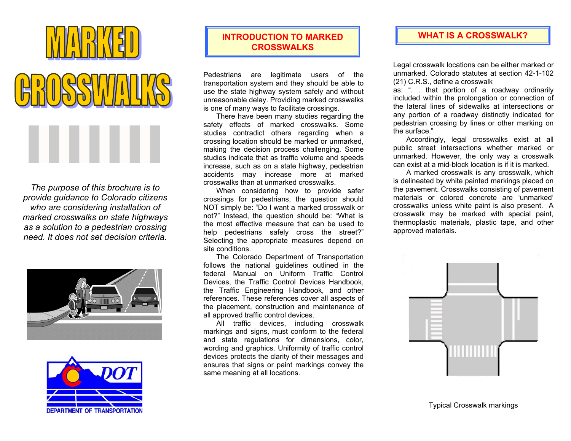



*The purpose of this brochure is to provide guidance to Colorado citizens who are considering installation of marked crosswalks on state highways as a solution to a pedestrian crossing need. It does not set decision criteria.* 





## **INTRODUCTION TO MARKED CROSSWALKS**

Pedestrians are legitimate users of the transportation system and they should be able to use the state highway system safely and without unreasonable delay. Providing marked crosswalks is one of many ways to facilitate crossings.

 There have been many studies regarding the safety effects of marked crosswalks. Some studies contradict others regarding when a crossing location should be marked or unmarked, making the decision process challenging. Some studies indicate that as traffic volume and speeds increase, such as on a state highway, pedestrian accidents may increase more at marked crosswalks than at unmarked crosswalks.

 When considering how to provide safer crossings for pedestrians, the question should NOT simply be: "Do I want a marked crosswalk or not?" Instead, the question should be: "What is the most effective measure that can be used to help pedestrians safely cross the street?" Selecting the appropriate measures depend on site conditions.

 The Colorado Department of Transportation follows the national guidelines outlined in the federal Manual on Uniform Traffic Control Devices, the Traffic Control Devices Handbook, the Traffic Engineering Handbook, and other references. These references cover all aspects of the placement, construction and maintenance of all approved traffic control devices.

All traffic devices, including crosswalk markings and signs, must conform to the federal and state regulations for dimensions, color, wording and graphics. Uniformity of traffic control devices protects the clarity of their messages and ensures that signs or paint markings convey the same meaning at all locations.

#### **WHAT IS A CROSSWALK?**

Legal crosswalk locations can be either marked or unmarked. Colorado statutes at section 42-1-102(21) C.R.S., define a crosswalk

as: ". . that portion of a roadway ordinaril y included within the prolongation or connection of the lateral lines of sidewalks at intersections orany portion of a roadway distinctly indicated for pedestrian crossing by lines or other marking on the surface."

Accordingly, legal crosswalks exist at all public street intersections whether marked or unmarked. However, the only way a crosswalk can exist at a mid-block location is if it is marked.

A marked crosswalk is any crosswalk, which is delineated by white painted markings placed on the pavement. Crosswalks consisting of pavement materials or colored concrete are 'unmarked'crosswalks unless white paint is also present. Acrosswalk may be marked with special paint, thermoplastic materials, plastic tape, and other approved materials.